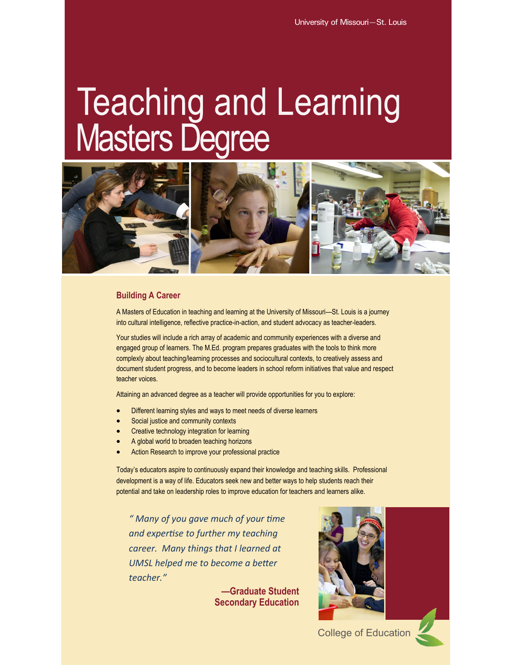# **Teaching and Learning Masters Degree**



# **Building A Career**

A Masters of Education in teaching and learning at the University of Missouri—St. Louis is a journey into cultural intelligence, reflective practice-in-action, and student advocacy as teacher-leaders.

Your studies will include a rich array of academic and community experiences with a diverse and engaged group of learners. The M.Ed. program prepares graduates with the tools to think more complexly about teaching/learning processes and sociocultural contexts, to creatively assess and document student progress, and to become leaders in school reform initiatives that value and respect teacher voices.

Attaining an advanced degree as a teacher will provide opportunities for you to explore:

- Different learning styles and ways to meet needs of diverse learners
- Social justice and community contexts
- Creative technology integration for learning
- A global world to broaden teaching horizons
- Action Research to improve your professional practice

Today's educators aspire to continuously expand their knowledge and teaching skills. Professional development is a way of life. Educators seek new and better ways to help students reach their potential and take on leadership roles to improve education for teachers and learners alike.

*" Many of you gave much of your time and expertise to further my teaching career. Many things that I learned at UMSL helped me to become a better teacher."*

> **—Graduate Student Secondary Education**



College of Education